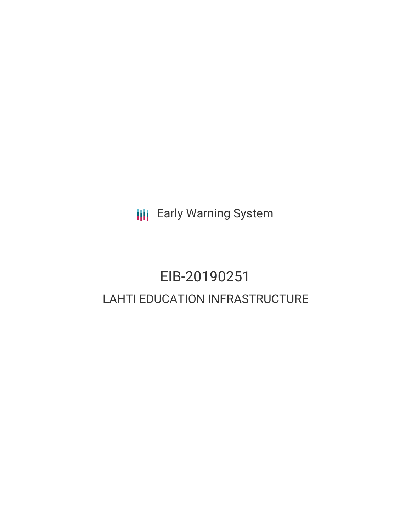**III** Early Warning System

# EIB-20190251 LAHTI EDUCATION INFRASTRUCTURE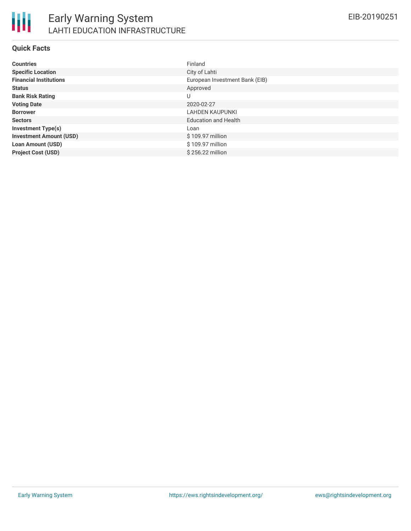

#### **Quick Facts**

| <b>Countries</b>               | Finland                        |
|--------------------------------|--------------------------------|
| <b>Specific Location</b>       | City of Lahti                  |
| <b>Financial Institutions</b>  | European Investment Bank (EIB) |
| <b>Status</b>                  | Approved                       |
| <b>Bank Risk Rating</b>        | U                              |
| <b>Voting Date</b>             | 2020-02-27                     |
| <b>Borrower</b>                | LAHDEN KAUPUNKI                |
| <b>Sectors</b>                 | <b>Education and Health</b>    |
| <b>Investment Type(s)</b>      | Loan                           |
| <b>Investment Amount (USD)</b> | \$109.97 million               |
| <b>Loan Amount (USD)</b>       | \$109.97 million               |
| <b>Project Cost (USD)</b>      | \$256.22 million               |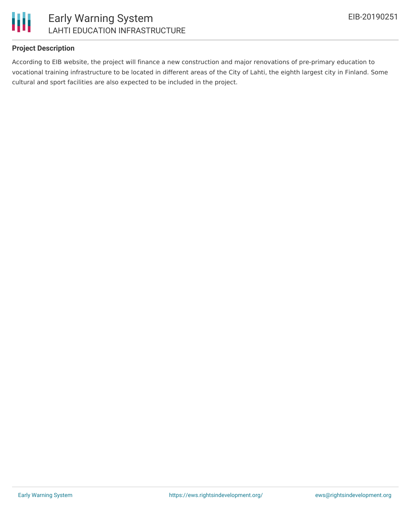

# Early Warning System LAHTI EDUCATION INFRASTRUCTURE

# **Project Description**

According to EIB website, the project will finance a new construction and major renovations of pre-primary education to vocational training infrastructure to be located in different areas of the City of Lahti, the eighth largest city in Finland. Some cultural and sport facilities are also expected to be included in the project.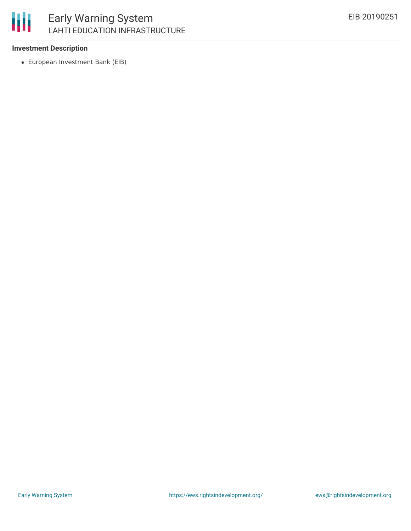

#### **Investment Description**

European Investment Bank (EIB)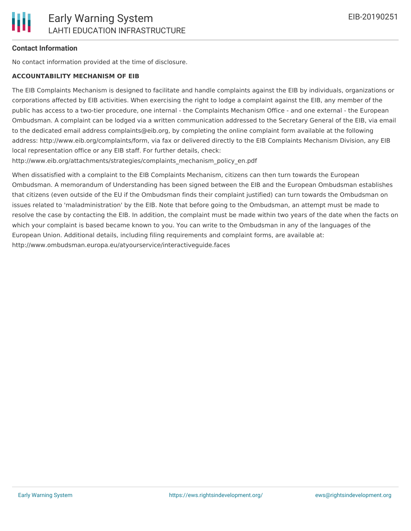## **Contact Information**

No contact information provided at the time of disclosure.

#### **ACCOUNTABILITY MECHANISM OF EIB**

The EIB Complaints Mechanism is designed to facilitate and handle complaints against the EIB by individuals, organizations or corporations affected by EIB activities. When exercising the right to lodge a complaint against the EIB, any member of the public has access to a two-tier procedure, one internal - the Complaints Mechanism Office - and one external - the European Ombudsman. A complaint can be lodged via a written communication addressed to the Secretary General of the EIB, via email to the dedicated email address complaints@eib.org, by completing the online complaint form available at the following address: http://www.eib.org/complaints/form, via fax or delivered directly to the EIB Complaints Mechanism Division, any EIB local representation office or any EIB staff. For further details, check:

http://www.eib.org/attachments/strategies/complaints\_mechanism\_policy\_en.pdf

When dissatisfied with a complaint to the EIB Complaints Mechanism, citizens can then turn towards the European Ombudsman. A memorandum of Understanding has been signed between the EIB and the European Ombudsman establishes that citizens (even outside of the EU if the Ombudsman finds their complaint justified) can turn towards the Ombudsman on issues related to 'maladministration' by the EIB. Note that before going to the Ombudsman, an attempt must be made to resolve the case by contacting the EIB. In addition, the complaint must be made within two years of the date when the facts on which your complaint is based became known to you. You can write to the Ombudsman in any of the languages of the European Union. Additional details, including filing requirements and complaint forms, are available at: http://www.ombudsman.europa.eu/atyourservice/interactiveguide.faces